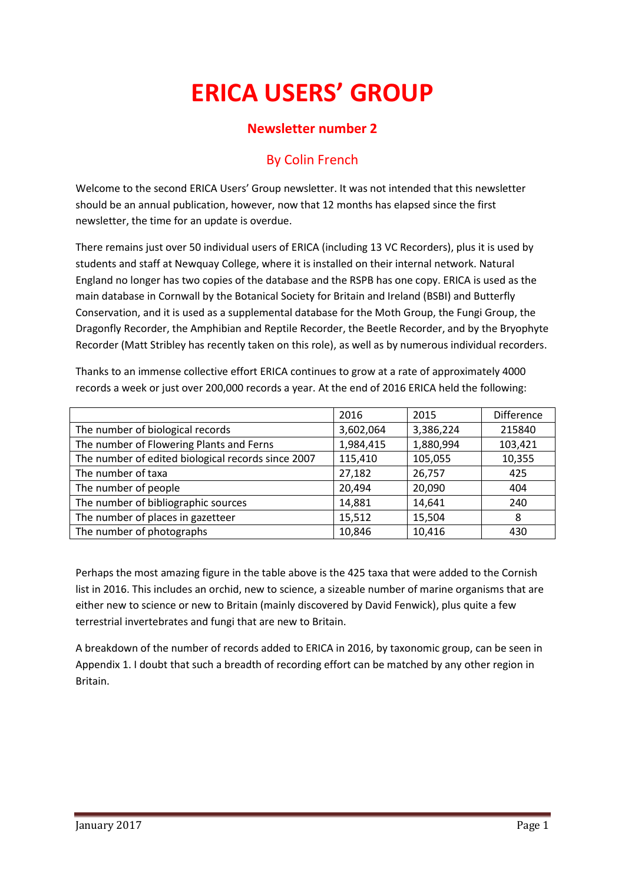# **ERICA USERS' GROUP**

## **Newsletter number 2**

# By Colin French

Welcome to the second ERICA Users' Group newsletter. It was not intended that this newsletter should be an annual publication, however, now that 12 months has elapsed since the first newsletter, the time for an update is overdue.

There remains just over 50 individual users of ERICA (including 13 VC Recorders), plus it is used by students and staff at Newquay College, where it is installed on their internal network. Natural England no longer has two copies of the database and the RSPB has one copy. ERICA is used as the main database in Cornwall by the Botanical Society for Britain and Ireland (BSBI) and Butterfly Conservation, and it is used as a supplemental database for the Moth Group, the Fungi Group, the Dragonfly Recorder, the Amphibian and Reptile Recorder, the Beetle Recorder, and by the Bryophyte Recorder (Matt Stribley has recently taken on this role), as well as by numerous individual recorders.

Thanks to an immense collective effort ERICA continues to grow at a rate of approximately 4000 records a week or just over 200,000 records a year. At the end of 2016 ERICA held the following:

|                                                    | 2016      | 2015      | Difference |
|----------------------------------------------------|-----------|-----------|------------|
| The number of biological records                   | 3,602,064 | 3,386,224 | 215840     |
| The number of Flowering Plants and Ferns           | 1,984,415 | 1,880,994 | 103,421    |
| The number of edited biological records since 2007 | 115,410   | 105,055   | 10,355     |
| The number of taxa                                 | 27,182    | 26,757    | 425        |
| The number of people                               | 20,494    | 20,090    | 404        |
| The number of bibliographic sources                | 14,881    | 14,641    | 240        |
| The number of places in gazetteer                  | 15,512    | 15,504    | 8          |
| The number of photographs                          | 10,846    | 10,416    | 430        |

Perhaps the most amazing figure in the table above is the 425 taxa that were added to the Cornish list in 2016. This includes an orchid, new to science, a sizeable number of marine organisms that are either new to science or new to Britain (mainly discovered by David Fenwick), plus quite a few terrestrial invertebrates and fungi that are new to Britain.

A breakdown of the number of records added to ERICA in 2016, by taxonomic group, can be seen in Appendix 1. I doubt that such a breadth of recording effort can be matched by any other region in Britain.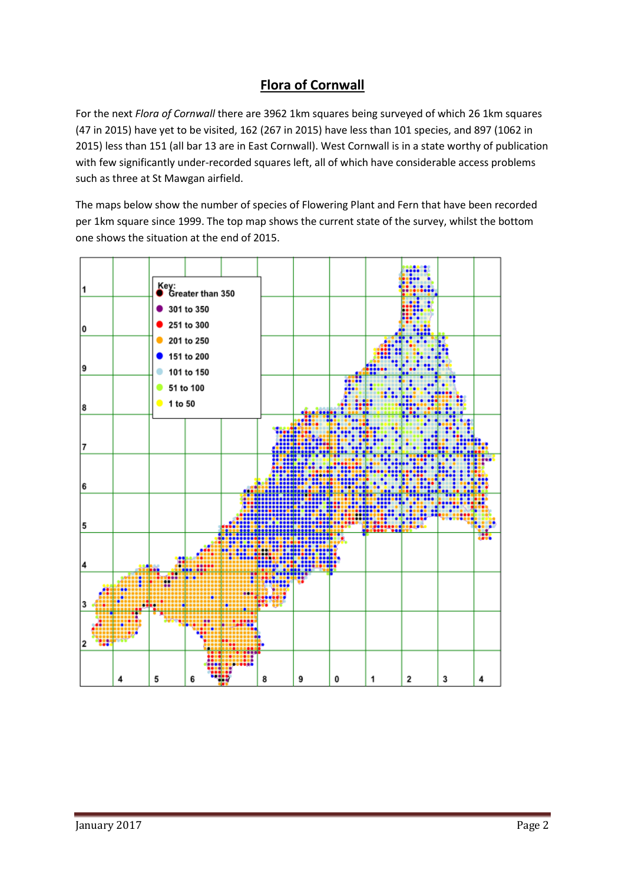## **Flora of Cornwall**

For the next *Flora of Cornwall* there are 3962 1km squares being surveyed of which 26 1km squares (47 in 2015) have yet to be visited, 162 (267 in 2015) have less than 101 species, and 897 (1062 in 2015) less than 151 (all bar 13 are in East Cornwall). West Cornwall is in a state worthy of publication with few significantly under-recorded squares left, all of which have considerable access problems such as three at St Mawgan airfield.

The maps below show the number of species of Flowering Plant and Fern that have been recorded per 1km square since 1999. The top map shows the current state of the survey, whilst the bottom one shows the situation at the end of 2015.

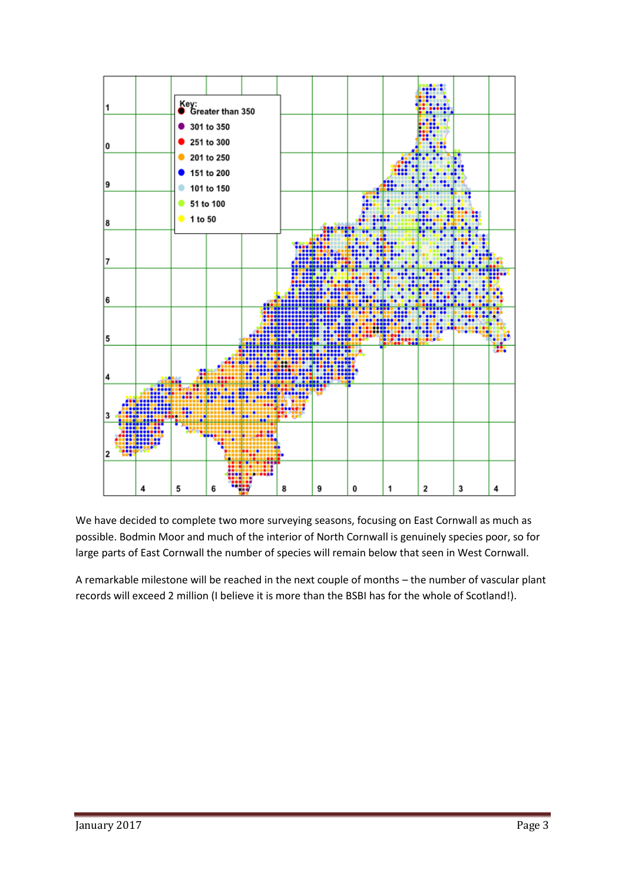

We have decided to complete two more surveying seasons, focusing on East Cornwall as much as possible. Bodmin Moor and much of the interior of North Cornwall is genuinely species poor, so for large parts of East Cornwall the number of species will remain below that seen in West Cornwall.

A remarkable milestone will be reached in the next couple of months – the number of vascular plant records will exceed 2 million (I believe it is more than the BSBI has for the whole of Scotland!).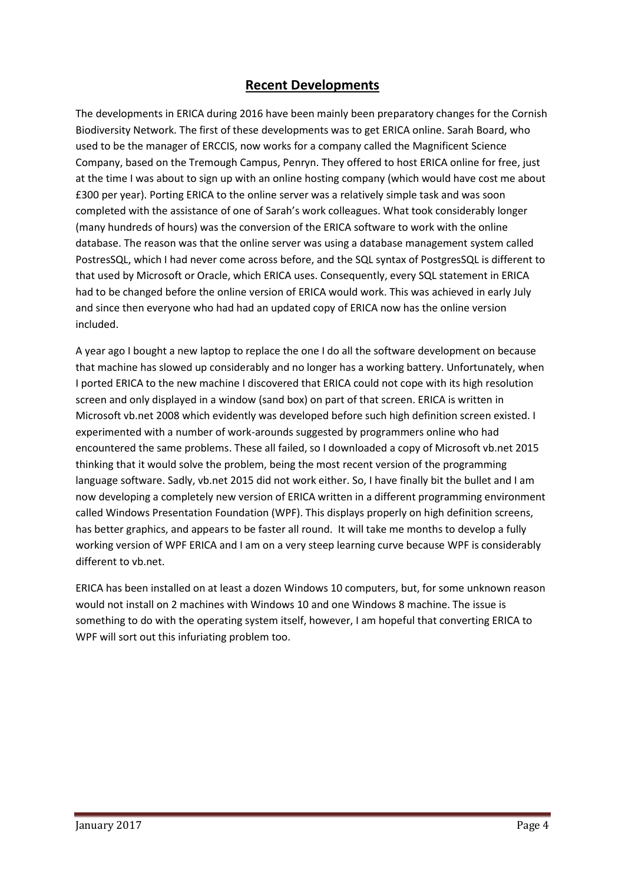### **Recent Developments**

The developments in ERICA during 2016 have been mainly been preparatory changes for the Cornish Biodiversity Network. The first of these developments was to get ERICA online. Sarah Board, who used to be the manager of ERCCIS, now works for a company called the Magnificent Science Company, based on the Tremough Campus, Penryn. They offered to host ERICA online for free, just at the time I was about to sign up with an online hosting company (which would have cost me about £300 per year). Porting ERICA to the online server was a relatively simple task and was soon completed with the assistance of one of Sarah's work colleagues. What took considerably longer (many hundreds of hours) was the conversion of the ERICA software to work with the online database. The reason was that the online server was using a database management system called PostresSQL, which I had never come across before, and the SQL syntax of PostgresSQL is different to that used by Microsoft or Oracle, which ERICA uses. Consequently, every SQL statement in ERICA had to be changed before the online version of ERICA would work. This was achieved in early July and since then everyone who had had an updated copy of ERICA now has the online version included.

A year ago I bought a new laptop to replace the one I do all the software development on because that machine has slowed up considerably and no longer has a working battery. Unfortunately, when I ported ERICA to the new machine I discovered that ERICA could not cope with its high resolution screen and only displayed in a window (sand box) on part of that screen. ERICA is written in Microsoft vb.net 2008 which evidently was developed before such high definition screen existed. I experimented with a number of work-arounds suggested by programmers online who had encountered the same problems. These all failed, so I downloaded a copy of Microsoft vb.net 2015 thinking that it would solve the problem, being the most recent version of the programming language software. Sadly, vb.net 2015 did not work either. So, I have finally bit the bullet and I am now developing a completely new version of ERICA written in a different programming environment called Windows Presentation Foundation (WPF). This displays properly on high definition screens, has better graphics, and appears to be faster all round. It will take me months to develop a fully working version of WPF ERICA and I am on a very steep learning curve because WPF is considerably different to vb.net.

ERICA has been installed on at least a dozen Windows 10 computers, but, for some unknown reason would not install on 2 machines with Windows 10 and one Windows 8 machine. The issue is something to do with the operating system itself, however, I am hopeful that converting ERICA to WPF will sort out this infuriating problem too.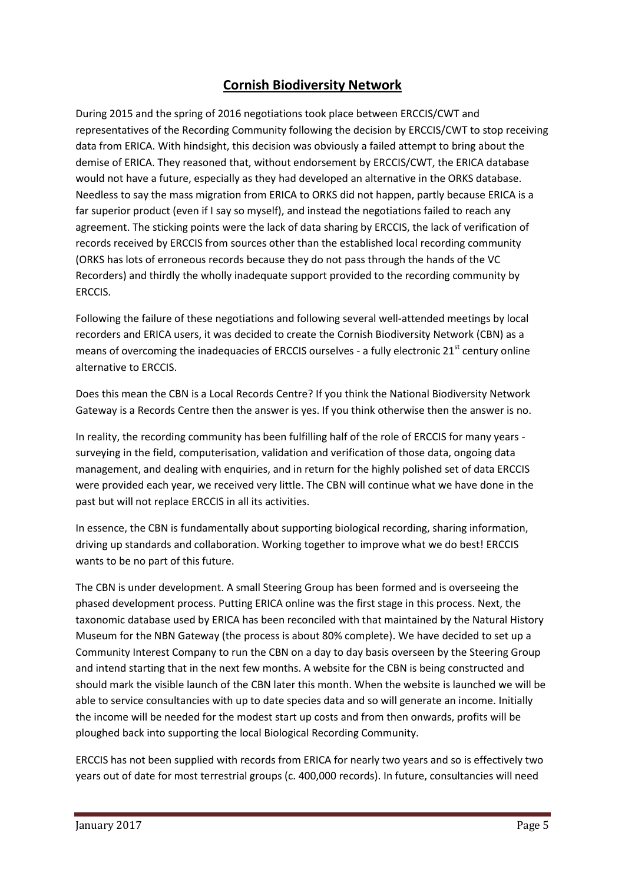## **Cornish Biodiversity Network**

During 2015 and the spring of 2016 negotiations took place between ERCCIS/CWT and representatives of the Recording Community following the decision by ERCCIS/CWT to stop receiving data from ERICA. With hindsight, this decision was obviously a failed attempt to bring about the demise of ERICA. They reasoned that, without endorsement by ERCCIS/CWT, the ERICA database would not have a future, especially as they had developed an alternative in the ORKS database. Needless to say the mass migration from ERICA to ORKS did not happen, partly because ERICA is a far superior product (even if I say so myself), and instead the negotiations failed to reach any agreement. The sticking points were the lack of data sharing by ERCCIS, the lack of verification of records received by ERCCIS from sources other than the established local recording community (ORKS has lots of erroneous records because they do not pass through the hands of the VC Recorders) and thirdly the wholly inadequate support provided to the recording community by ERCCIS.

Following the failure of these negotiations and following several well-attended meetings by local recorders and ERICA users, it was decided to create the Cornish Biodiversity Network (CBN) as a means of overcoming the inadequacies of ERCCIS ourselves - a fully electronic  $21^{st}$  century online alternative to ERCCIS.

Does this mean the CBN is a Local Records Centre? If you think the National Biodiversity Network Gateway is a Records Centre then the answer is yes. If you think otherwise then the answer is no.

In reality, the recording community has been fulfilling half of the role of ERCCIS for many years surveying in the field, computerisation, validation and verification of those data, ongoing data management, and dealing with enquiries, and in return for the highly polished set of data ERCCIS were provided each year, we received very little. The CBN will continue what we have done in the past but will not replace ERCCIS in all its activities.

In essence, the CBN is fundamentally about supporting biological recording, sharing information, driving up standards and collaboration. Working together to improve what we do best! ERCCIS wants to be no part of this future.

The CBN is under development. A small Steering Group has been formed and is overseeing the phased development process. Putting ERICA online was the first stage in this process. Next, the taxonomic database used by ERICA has been reconciled with that maintained by the Natural History Museum for the NBN Gateway (the process is about 80% complete). We have decided to set up a Community Interest Company to run the CBN on a day to day basis overseen by the Steering Group and intend starting that in the next few months. A website for the CBN is being constructed and should mark the visible launch of the CBN later this month. When the website is launched we will be able to service consultancies with up to date species data and so will generate an income. Initially the income will be needed for the modest start up costs and from then onwards, profits will be ploughed back into supporting the local Biological Recording Community.

ERCCIS has not been supplied with records from ERICA for nearly two years and so is effectively two years out of date for most terrestrial groups (c. 400,000 records). In future, consultancies will need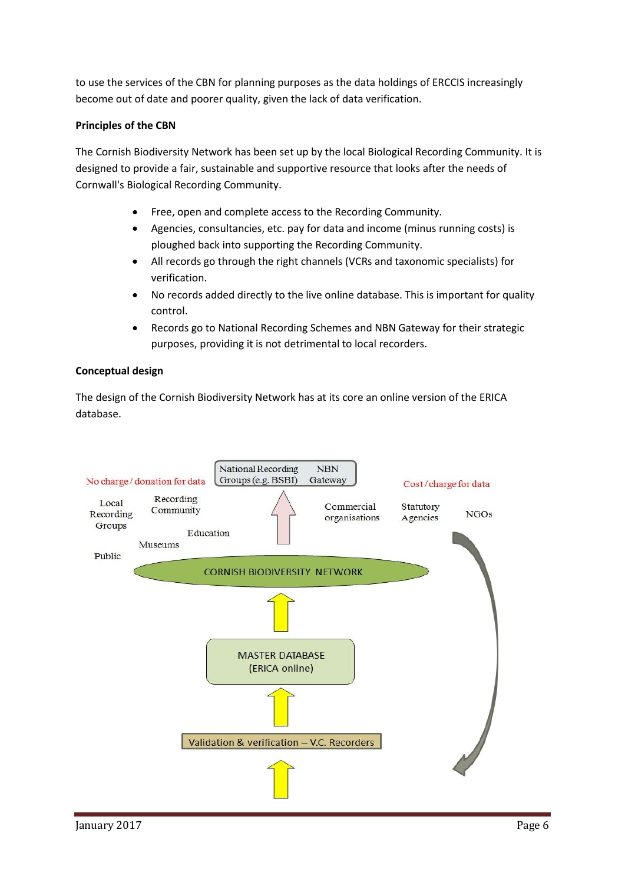to use the services of the CBN for planning purposes as the data holdings of ERCCIS increasingly become out of date and poorer quality, given the lack of data verification.

#### **Principles of the CBN**

The Cornish Biodiversity Network has been set up by the local Biological Recording Community. It is designed to provide a fair, sustainable and supportive resource that looks after the needs of Cornwall's Biological Recording Community.

- Free, open and complete access to the Recording Community.
- Agencies, consultancies, etc. pay for data and income (minus running costs) is ploughed back into supporting the Recording Community.
- All records go through the right channels (VCRs and taxonomic specialists) for verification.
- No records added directly to the live online database. This is important for quality control.
- Records go to National Recording Schemes and NBN Gateway for their strategic purposes, providing it is not detrimental to local recorders.

#### **Conceptual design**

The design of the Cornish Biodiversity Network has at its core an online version of the ERICA database.

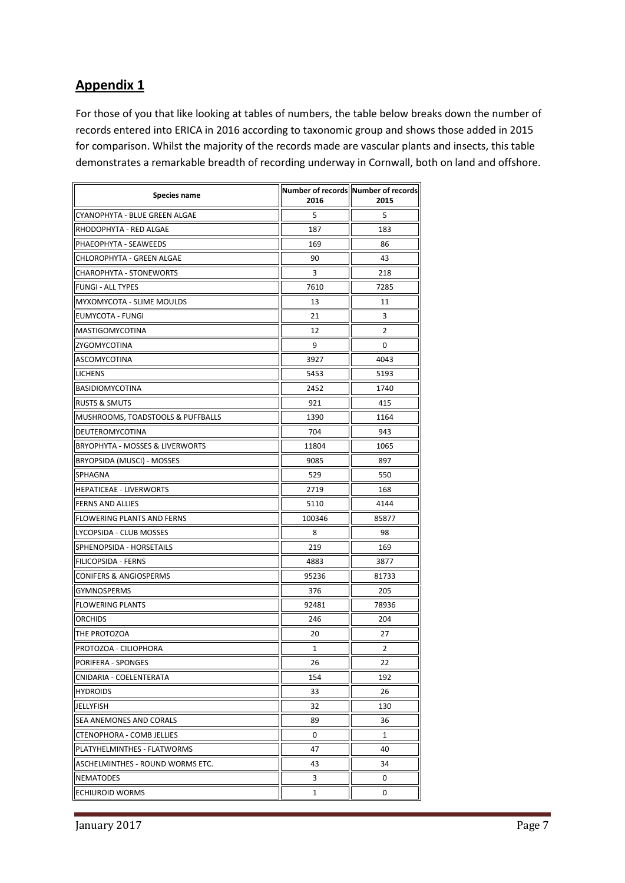## **Appendix 1**

For those of you that like looking at tables of numbers, the table below breaks down the number of records entered into ERICA in 2016 according to taxonomic group and shows those added in 2015 for comparison. Whilst the majority of the records made are vascular plants and insects, this table demonstrates a remarkable breadth of recording underway in Cornwall, both on land and offshore.

| <b>Species name</b>               | 2016   | Number of records Number of records<br>2015 |
|-----------------------------------|--------|---------------------------------------------|
| CYANOPHYTA - BLUE GREEN ALGAE     | 5      | 5                                           |
| RHODOPHYTA - RED ALGAE            | 187    | 183                                         |
| PHAEOPHYTA - SEAWEEDS             | 169    | 86                                          |
| CHLOROPHYTA - GREEN ALGAE         | 90     | 43                                          |
| CHAROPHYTA - STONEWORTS           | 3      | 218                                         |
| <b>FUNGI - ALL TYPES</b>          | 7610   | 7285                                        |
| MYXOMYCOTA - SLIME MOULDS         | 13     | 11                                          |
| <b>EUMYCOTA - FUNGI</b>           | 21     | 3                                           |
| MASTIGOMYCOTINA                   | 12     | $\overline{2}$                              |
| ZYGOMYCOTINA                      | 9      | 0                                           |
| ASCOMYCOTINA                      | 3927   | 4043                                        |
| <b>LICHENS</b>                    | 5453   | 5193                                        |
| <b>BASIDIOMYCOTINA</b>            | 2452   | 1740                                        |
| <b>RUSTS &amp; SMUTS</b>          | 921    | 415                                         |
| MUSHROOMS, TOADSTOOLS & PUFFBALLS | 1390   | 1164                                        |
| DEUTEROMYCOTINA                   | 704    | 943                                         |
| BRYOPHYTA - MOSSES & LIVERWORTS   | 11804  | 1065                                        |
| BRYOPSIDA (MUSCI) - MOSSES        | 9085   | 897                                         |
| SPHAGNA                           | 529    | 550                                         |
| <b>HEPATICEAE - LIVERWORTS</b>    | 2719   | 168                                         |
| <b>FERNS AND ALLIES</b>           | 5110   | 4144                                        |
| <b>FLOWERING PLANTS AND FERNS</b> | 100346 | 85877                                       |
| LYCOPSIDA - CLUB MOSSES           | 8      | 98                                          |
| SPHENOPSIDA - HORSETAILS          | 219    | 169                                         |
| <b>FILICOPSIDA - FERNS</b>        | 4883   | 3877                                        |
| <b>CONIFERS &amp; ANGIOSPERMS</b> | 95236  | 81733                                       |
| <b>GYMNOSPERMS</b>                | 376    | 205                                         |
| <b>FLOWERING PLANTS</b>           | 92481  | 78936                                       |
| <b>ORCHIDS</b>                    | 246    | 204                                         |
| THE PROTOZOA                      | 20     | 27                                          |
| PROTOZOA - CILIOPHORA             | 1      | 2                                           |
| PORIFERA - SPONGES                | 26     | 22                                          |
| CNIDARIA - COELENTERATA           | 154    | 192                                         |
| <b>HYDROIDS</b>                   | 33     | 26                                          |
| JELLYFISH                         | 32     | 130                                         |
| SEA ANEMONES AND CORALS           | 89     | 36                                          |
| CTENOPHORA - COMB JELLIES         | 0      | 1                                           |
| PLATYHELMINTHES - FLATWORMS       | 47     | 40                                          |
| ASCHELMINTHES - ROUND WORMS ETC.  | 43     | 34                                          |
| <b>NEMATODES</b>                  | 3      | 0                                           |
| <b>ECHIUROID WORMS</b>            | 1      | 0                                           |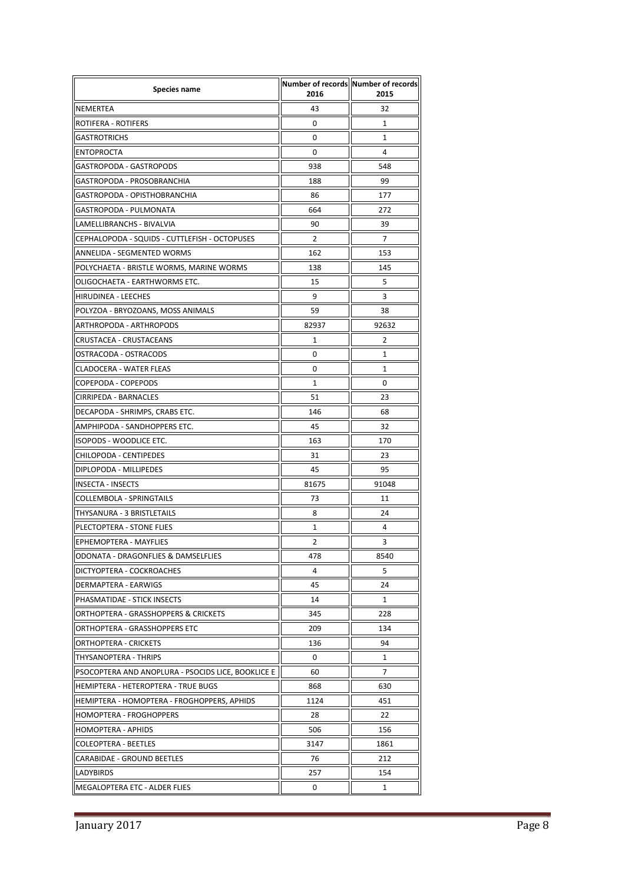| <b>Species name</b>                                | 2016  | Number of records Number of records<br>2015 |
|----------------------------------------------------|-------|---------------------------------------------|
| <b>NEMERTEA</b>                                    | 43    | 32                                          |
| <b>ROTIFERA - ROTIFERS</b>                         | 0     | 1                                           |
| <b>GASTROTRICHS</b>                                | 0     | 1                                           |
| <b>ENTOPROCTA</b>                                  | 0     | 4                                           |
| GASTROPODA - GASTROPODS                            | 938   | 548                                         |
| GASTROPODA - PROSOBRANCHIA                         | 188   | 99                                          |
| GASTROPODA - OPISTHOBRANCHIA                       | 86    | 177                                         |
| GASTROPODA - PULMONATA                             | 664   | 272                                         |
| LAMELLIBRANCHS - BIVALVIA                          | 90    | 39                                          |
| CEPHALOPODA - SQUIDS - CUTTLEFISH - OCTOPUSES      | 2     | 7                                           |
| ANNELIDA - SEGMENTED WORMS                         | 162   | 153                                         |
| POLYCHAETA - BRISTLE WORMS, MARINE WORMS           | 138   | 145                                         |
| OLIGOCHAETA - EARTHWORMS ETC.                      | 15    | 5                                           |
| <b>HIRUDINEA - LEECHES</b>                         | 9     | 3                                           |
| POLYZOA - BRYOZOANS, MOSS ANIMALS                  | 59    | 38                                          |
| ARTHROPODA - ARTHROPODS                            | 82937 | 92632                                       |
| CRUSTACEA - CRUSTACEANS                            | 1     | 2                                           |
| OSTRACODA - OSTRACODS                              | 0     | $\mathbf{1}$                                |
| <b>CLADOCERA - WATER FLEAS</b>                     | 0     | 1                                           |
| COPEPODA - COPEPODS                                | 1     | 0                                           |
| CIRRIPEDA - BARNACLES                              | 51    | 23                                          |
| DECAPODA - SHRIMPS, CRABS ETC.                     | 146   | 68                                          |
| AMPHIPODA - SANDHOPPERS ETC.                       | 45    | 32                                          |
| ISOPODS - WOODLICE ETC.                            | 163   | 170                                         |
| CHILOPODA - CENTIPEDES                             | 31    | 23                                          |
| DIPLOPODA - MILLIPEDES                             | 45    | 95                                          |
| <b>INSECTA - INSECTS</b>                           | 81675 | 91048                                       |
| COLLEMBOLA - SPRINGTAILS                           | 73    | 11                                          |
| THYSANURA - 3 BRISTLETAILS                         | 8     | 24                                          |
| PLECTOPTERA - STONE FLIES                          | 1     | 4                                           |
| EPHEMOPTERA - MAYFLIES                             | 2     | 3                                           |
| ODONATA - DRAGONFLIES & DAMSELFLIES                | 478   | 8540                                        |
| DICTYOPTERA - COCKROACHES                          | 4     | 5                                           |
| <b>DERMAPTERA - EARWIGS</b>                        | 45    | 24                                          |
| PHASMATIDAE - STICK INSECTS                        | 14    | $\mathbf{1}$                                |
| ORTHOPTERA - GRASSHOPPERS & CRICKETS               | 345   | 228                                         |
| ORTHOPTERA - GRASSHOPPERS ETC                      | 209   | 134                                         |
| <b>ORTHOPTERA - CRICKETS</b>                       | 136   | 94                                          |
| <b>THYSANOPTERA - THRIPS</b>                       | 0     | $\mathbf{1}$                                |
| PSOCOPTERA AND ANOPLURA - PSOCIDS LICE. BOOKLICE E | 60    | 7                                           |
| HEMIPTERA - HETEROPTERA - TRUE BUGS                | 868   | 630                                         |
| HEMIPTERA - HOMOPTERA - FROGHOPPERS, APHIDS        | 1124  | 451                                         |
| HOMOPTERA - FROGHOPPERS                            | 28    | 22                                          |
| <b>HOMOPTERA - APHIDS</b>                          | 506   | 156                                         |
| <b>COLEOPTERA - BEETLES</b>                        | 3147  | 1861                                        |
| CARABIDAE - GROUND BEETLES                         | 76    | 212                                         |
| LADYBIRDS                                          | 257   | 154                                         |
| MEGALOPTERA ETC - ALDER FLIES                      | 0     | 1                                           |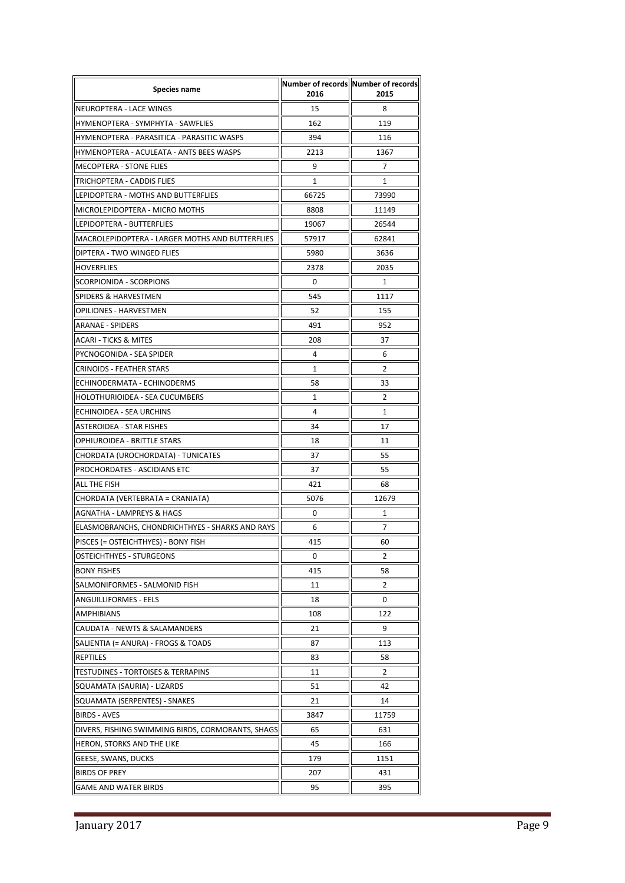| <b>Species name</b>                               | 2016  | Number of records Number of records<br>2015 |
|---------------------------------------------------|-------|---------------------------------------------|
| NEUROPTERA - LACE WINGS                           | 15    | 8                                           |
| HYMENOPTERA - SYMPHYTA - SAWFLIES                 | 162   | 119                                         |
| HYMENOPTERA - PARASITICA - PARASITIC WASPS        | 394   | 116                                         |
| HYMENOPTERA - ACULEATA - ANTS BEES WASPS          | 2213  | 1367                                        |
| <b>MECOPTERA - STONE FLIES</b>                    | 9     | $\overline{7}$                              |
| TRICHOPTERA - CADDIS FLIES                        | 1     | 1                                           |
| LEPIDOPTERA - MOTHS AND BUTTERFLIES               | 66725 | 73990                                       |
| MICROLEPIDOPTERA - MICRO MOTHS                    | 8808  | 11149                                       |
| LEPIDOPTERA - BUTTERFLIES                         | 19067 | 26544                                       |
| MACROLEPIDOPTERA - LARGER MOTHS AND BUTTERFLIES   | 57917 | 62841                                       |
| DIPTERA - TWO WINGED FLIES                        | 5980  | 3636                                        |
| <b>HOVERFLIES</b>                                 | 2378  | 2035                                        |
| <b>SCORPIONIDA - SCORPIONS</b>                    | 0     | 1                                           |
| SPIDERS & HARVESTMEN                              | 545   | 1117                                        |
| <b>OPILIONES - HARVESTMEN</b>                     | 52    | 155                                         |
| <b>ARANAE - SPIDERS</b>                           | 491   | 952                                         |
| ACARI - TICKS & MITES                             | 208   | 37                                          |
| PYCNOGONIDA - SEA SPIDER                          | 4     | 6                                           |
| <b>CRINOIDS - FEATHER STARS</b>                   | 1     | 2                                           |
| ECHINODERMATA - ECHINODERMS                       | 58    | 33                                          |
| HOLOTHURIOIDEA - SEA CUCUMBERS                    | 1     | 2                                           |
| ECHINOIDEA - SEA URCHINS                          | 4     | 1                                           |
| ASTEROIDEA - STAR FISHES                          | 34    | 17                                          |
| OPHIUROIDEA - BRITTLE STARS                       | 18    | 11                                          |
| CHORDATA (UROCHORDATA) - TUNICATES                | 37    | 55                                          |
| PROCHORDATES - ASCIDIANS ETC                      | 37    | 55                                          |
| ALL THE FISH                                      | 421   | 68                                          |
| CHORDATA (VERTEBRATA = CRANIATA)                  | 5076  | 12679                                       |
| <b>AGNATHA - LAMPREYS &amp; HAGS</b>              | 0     | 1                                           |
| ELASMOBRANCHS, CHONDRICHTHYES - SHARKS AND RAYS   | 6     | 7                                           |
| PISCES (= OSTEICHTHYES) - BONY FISH               | 415   | 60                                          |
| <b>OSTEICHTHYES - STURGEONS</b>                   | 0     | 2                                           |
| <b>BONY FISHES</b>                                | 415   | 58                                          |
| SALMONIFORMES - SALMONID FISH                     | 11    | 2                                           |
| <b>ANGUILLIFORMES - EELS</b>                      | 18    | 0                                           |
| <b>AMPHIBIANS</b>                                 | 108   | 122                                         |
| CAUDATA - NEWTS & SALAMANDERS                     | 21    | 9                                           |
| SALIENTIA (= ANURA) - FROGS & TOADS               | 87    | 113                                         |
| <b>REPTILES</b>                                   | 83    | 58                                          |
| TESTUDINES - TORTOISES & TERRAPINS                | 11    | 2                                           |
| SQUAMATA (SAURIA) - LIZARDS                       | 51    | 42                                          |
| SQUAMATA (SERPENTES) - SNAKES                     | 21    | 14                                          |
| <b>BIRDS - AVES</b>                               | 3847  | 11759                                       |
| DIVERS, FISHING SWIMMING BIRDS, CORMORANTS, SHAGS | 65    | 631                                         |
| HERON, STORKS AND THE LIKE                        | 45    | 166                                         |
| GEESE, SWANS, DUCKS                               | 179   | 1151                                        |
| <b>BIRDS OF PREY</b>                              | 207   | 431                                         |
| <b>GAME AND WATER BIRDS</b>                       | 95    | 395                                         |